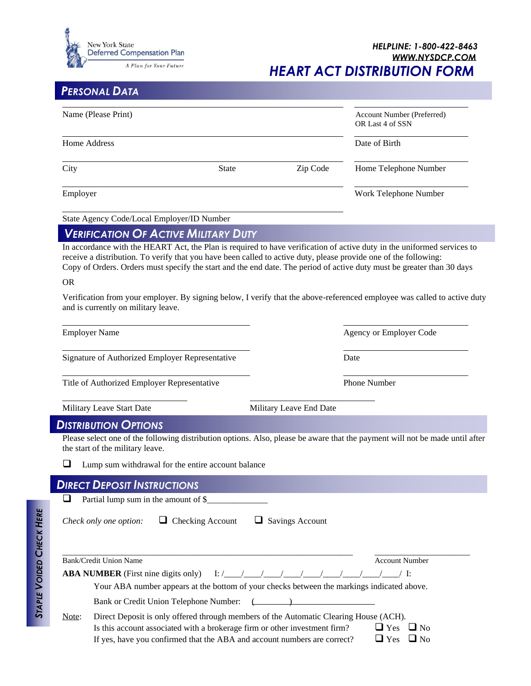

## *PERSONAL DATA*

| Name (Please Print)                                                                                                                                                          |                                                                                            |                         | Account Number (Preferred)<br>OR Last 4 of SSN                                                                                                                                                                                                                                                                                                                                |  |
|------------------------------------------------------------------------------------------------------------------------------------------------------------------------------|--------------------------------------------------------------------------------------------|-------------------------|-------------------------------------------------------------------------------------------------------------------------------------------------------------------------------------------------------------------------------------------------------------------------------------------------------------------------------------------------------------------------------|--|
| Home Address                                                                                                                                                                 |                                                                                            |                         | Date of Birth                                                                                                                                                                                                                                                                                                                                                                 |  |
| City                                                                                                                                                                         | <b>State</b>                                                                               | Zip Code                | Home Telephone Number                                                                                                                                                                                                                                                                                                                                                         |  |
| Employer                                                                                                                                                                     |                                                                                            |                         | Work Telephone Number                                                                                                                                                                                                                                                                                                                                                         |  |
| State Agency Code/Local Employer/ID Number                                                                                                                                   |                                                                                            |                         |                                                                                                                                                                                                                                                                                                                                                                               |  |
| <b>VERIFICATION OF ACTIVE MILITARY DUTY</b>                                                                                                                                  |                                                                                            |                         |                                                                                                                                                                                                                                                                                                                                                                               |  |
| receive a distribution. To verify that you have been called to active duty, please provide one of the following:<br><b>OR</b><br>and is currently on military leave.         |                                                                                            |                         | In accordance with the HEART Act, the Plan is required to have verification of active duty in the uniformed services to<br>Copy of Orders. Orders must specify the start and the end date. The period of active duty must be greater than 30 days<br>Verification from your employer. By signing below, I verify that the above-referenced employee was called to active duty |  |
| <b>Employer Name</b>                                                                                                                                                         |                                                                                            |                         | Agency or Employer Code                                                                                                                                                                                                                                                                                                                                                       |  |
| Signature of Authorized Employer Representative                                                                                                                              |                                                                                            |                         | Date                                                                                                                                                                                                                                                                                                                                                                          |  |
| Title of Authorized Employer Representative                                                                                                                                  |                                                                                            |                         | <b>Phone Number</b>                                                                                                                                                                                                                                                                                                                                                           |  |
| Military Leave Start Date                                                                                                                                                    |                                                                                            | Military Leave End Date |                                                                                                                                                                                                                                                                                                                                                                               |  |
| <b>DISTRIBUTION OPTIONS</b>                                                                                                                                                  |                                                                                            |                         |                                                                                                                                                                                                                                                                                                                                                                               |  |
| the start of the military leave.                                                                                                                                             |                                                                                            |                         | Please select one of the following distribution options. Also, please be aware that the payment will not be made until after                                                                                                                                                                                                                                                  |  |
| ⊔<br>Lump sum withdrawal for the entire account balance                                                                                                                      |                                                                                            |                         |                                                                                                                                                                                                                                                                                                                                                                               |  |
| <b>DIRECT DEPOSIT INSTRUCTIONS</b>                                                                                                                                           |                                                                                            |                         |                                                                                                                                                                                                                                                                                                                                                                               |  |
| ❏<br>Partial lump sum in the amount of \$                                                                                                                                    |                                                                                            |                         |                                                                                                                                                                                                                                                                                                                                                                               |  |
| Check only one option:                                                                                                                                                       | $\Box$ Checking Account                                                                    | $\Box$ Savings Account  |                                                                                                                                                                                                                                                                                                                                                                               |  |
| Bank/Credit Union Name<br><b>ABA NUMBER</b> (First nine digits only) I: $\frac{1}{2}$ $\frac{1}{2}$ $\frac{1}{2}$ $\frac{1}{2}$ $\frac{1}{2}$ $\frac{1}{2}$ $\frac{1}{2}$ I: | Your ABA number appears at the bottom of your checks between the markings indicated above. |                         | <b>Account Number</b>                                                                                                                                                                                                                                                                                                                                                         |  |

Bank or Credit Union Telephone Number:  $\left(\right)$ 

| Note: | Direct Deposit is only offered through members of the Automatic Clearing House (ACH). |                      |  |  |
|-------|---------------------------------------------------------------------------------------|----------------------|--|--|
|       | Is this account associated with a brokerage firm or other investment firm?            | $\Box$ Yes $\Box$ No |  |  |
|       | If yes, have you confirmed that the ABA and account numbers are correct?              | $\Box$ Yes $\Box$ No |  |  |